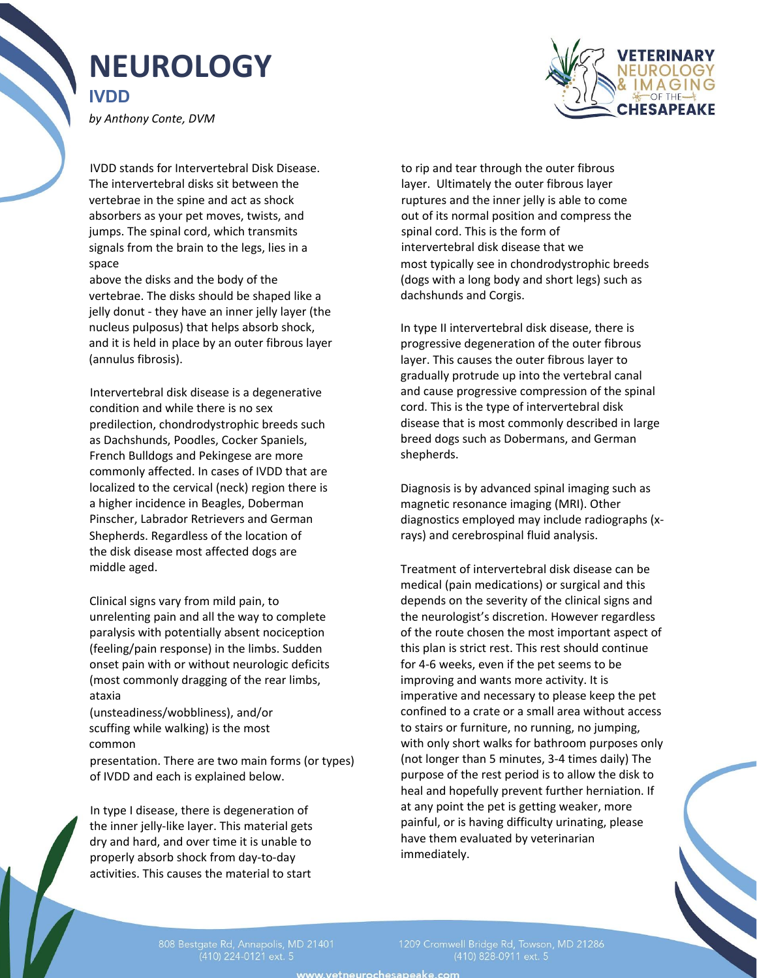## **NEUROLOGY IVDD**

*by Anthony Conte, DVM*



IVDD stands for Intervertebral Disk Disease. The intervertebral disks sit between the vertebrae in the spine and act as shock absorbers as your pet moves, twists, and jumps. The spinal cord, which transmits signals from the brain to the legs, lies in a space

above the disks and the body of the vertebrae. The disks should be shaped like a jelly donut - they have an inner jelly layer (the nucleus pulposus) that helps absorb shock, and it is held in place by an outer fibrous layer (annulus fibrosis).

Intervertebral disk disease is a degenerative condition and while there is no sex predilection, chondrodystrophic breeds such as Dachshunds, Poodles, Cocker Spaniels, French Bulldogs and Pekingese are more commonly affected. In cases of IVDD that are localized to the cervical (neck) region there is a higher incidence in Beagles, Doberman Pinscher, Labrador Retrievers and German Shepherds. Regardless of the location of the disk disease most affected dogs are middle aged.

Clinical signs vary from mild pain, to unrelenting pain and all the way to complete paralysis with potentially absent nociception (feeling/pain response) in the limbs. Sudden onset pain with or without neurologic deficits (most commonly dragging of the rear limbs, ataxia

(unsteadiness/wobbliness), and/or scuffing while walking) is the most common

presentation. There are two main forms (or types) of IVDD and each is explained below.

In type I disease, there is degeneration of the inner jelly-like layer. This material gets dry and hard, and over time it is unable to properly absorb shock from day-to-day activities. This causes the material to start

to rip and tear through the outer fibrous layer. Ultimately the outer fibrous layer ruptures and the inner jelly is able to come out of its normal position and compress the spinal cord. This is the form of intervertebral disk disease that we most typically see in chondrodystrophic breeds (dogs with a long body and short legs) such as dachshunds and Corgis.

In type II intervertebral disk disease, there is progressive degeneration of the outer fibrous layer. This causes the outer fibrous layer to gradually protrude up into the vertebral canal and cause progressive compression of the spinal cord. This is the type of intervertebral disk disease that is most commonly described in large breed dogs such as Dobermans, and German shepherds.

Diagnosis is by advanced spinal imaging such as magnetic resonance imaging (MRI). Other diagnostics employed may include radiographs (xrays) and cerebrospinal fluid analysis.

Treatment of intervertebral disk disease can be medical (pain medications) or surgical and this depends on the severity of the clinical signs and the neurologist's discretion. However regardless of the route chosen the most important aspect of this plan is strict rest. This rest should continue for 4-6 weeks, even if the pet seems to be improving and wants more activity. It is imperative and necessary to please keep the pet confined to a crate or a small area without access to stairs or furniture, no running, no jumping, with only short walks for bathroom purposes only (not longer than 5 minutes, 3-4 times daily) The purpose of the rest period is to allow the disk to heal and hopefully prevent further herniation. If at any point the pet is getting weaker, more painful, or is having difficulty urinating, please have them evaluated by veterinarian immediately.

(410) 224-0121 ext. 5

(410) 828-0911 ext. 5